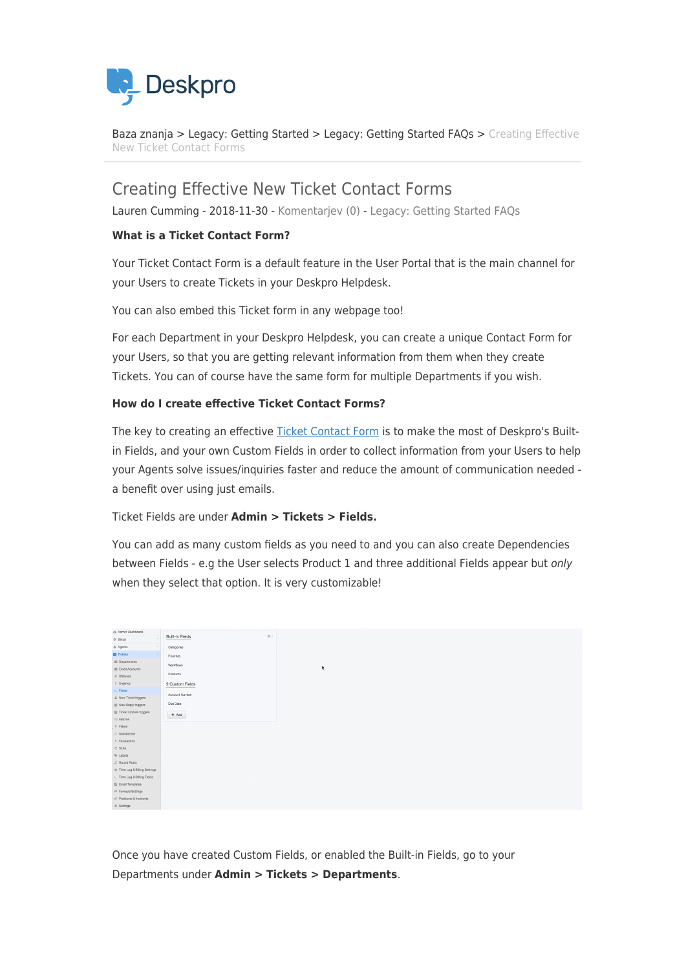

[Baza znanja](https://support.deskpro.com/sl-SI/kb) > [Legacy: Getting Started](https://support.deskpro.com/sl-SI/kb/legacy-getting-started) > [Legacy: Getting Started FAQs](https://support.deskpro.com/sl-SI/kb/legacy-getting-started-faqs) > [Creating Effective](https://support.deskpro.com/sl-SI/kb/articles/creating-effective-new-ticket-contact-forms) [New Ticket Contact Forms](https://support.deskpro.com/sl-SI/kb/articles/creating-effective-new-ticket-contact-forms)

# Creating Effective New Ticket Contact Forms

Lauren Cumming - 2018-11-30 - [Komentarjev \(0\)](#page--1-0) - [Legacy: Getting Started FAQs](https://support.deskpro.com/sl-SI/kb/legacy-getting-started-faqs)

## **What is a Ticket Contact Form?**

Your Ticket Contact Form is a default feature in the User Portal that is the main channel for your Users to create Tickets in your Deskpro Helpdesk.

You can also embed this Ticket form in any webpage too!

For each Department in your Deskpro Helpdesk, you can create a unique Contact Form for your Users, so that you are getting relevant information from them when they create Tickets. You can of course have the same form for multiple Departments if you wish.

### **How do I create effective Ticket Contact Forms?**

The key to creating an effective [Ticket Contact Form](https://support.deskpro.com/en/guides/admin-guide/ticket-fields-2/ticket-form-layouts) is to make the most of Deskpro's Builtin Fields, and your own Custom Fields in order to collect information from your Users to help your Agents solve issues/inquiries faster and reduce the amount of communication needed a benefit over using just emails.

Ticket Fields are under **Admin > Tickets > Fields.**

You can add as many custom fields as you need to and you can also create Dependencies between Fields - e.g the User selects Product 1 and three additional Fields appear but only when they select that option. It is very customizable!

| @ Admin Dashboard             | 春。              |
|-------------------------------|-----------------|
| <b>☆ Setup</b>                | Built-In Fields |
| & Agents                      | Categories      |
| <b>ES</b> Tickets             | Priorities      |
| <b>E</b> Departments          | Workflows       |
| 图 Email Accounts              |                 |
| $\phi$ Statuses               | Products        |
| ! Urgency                     | 2 Custom Fields |
| $\Sigma$ . Fields             | Account Number  |
| & New Ticket triggers         |                 |
| 을 New Reply triggers          | Due Date        |
| 營 Ticket Update triggers      | $+$ Add         |
| EB Macros                     |                 |
| $T$ Filters                   |                 |
| @ Satisfaction                |                 |
| $%$ Escalations               |                 |
| © SLAs                        |                 |
| % Labels                      |                 |
| C Round Robin                 |                 |
| C Time Log & Billing Settings |                 |
| >. Time Log & Billing Fields  |                 |
| <b>图 Email Templates</b>      |                 |
| ← Forward Settings            |                 |
| F3 Problems & Incidents       |                 |
| O Settings                    |                 |

Once you have created Custom Fields, or enabled the Built-in Fields, go to your Departments under **Admin > Tickets > Departments**.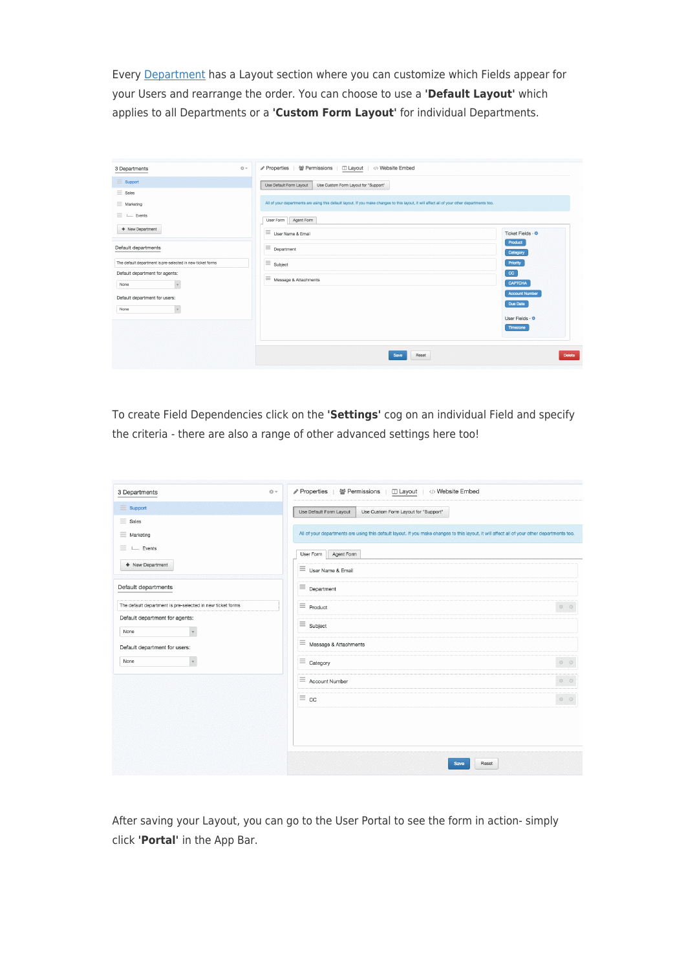Every [Department](https://support.deskpro.com/en/guides/admin-guide/departments-2/managing-ticket-departments#department-properties) has a Layout section where you can customize which Fields appear for your Users and rearrange the order. You can choose to use a **'Default Layout'** which applies to all Departments or a **'Custom Form Layout'** for individual Departments.

| 3 Departments                                              | ∥ Properties   ₩ Permissions   III Layout   <> Website Embed<br>O v                                                                          |                       |
|------------------------------------------------------------|----------------------------------------------------------------------------------------------------------------------------------------------|-----------------------|
| $\equiv$ Support                                           | Use Default Form Layout<br>Use Custom Form Layout for "Support"                                                                              |                       |
| $\equiv$ Sales                                             |                                                                                                                                              |                       |
| $\equiv$ Marketing                                         | All of your departments are using this default layout. If you make changes to this layout, it will affect all of your other departments too. |                       |
| $\equiv$ $\sqsubseteq$ Events                              | Agent Form<br>User Form                                                                                                                      |                       |
| + New Department                                           | $\equiv$ User Name & Email                                                                                                                   | Ticket Fields - *     |
| Default departments                                        | $\equiv$ Department                                                                                                                          | Product<br>Category   |
| The default department is pre-selected in new ticket forms | $\equiv$ Subject                                                                                                                             | Priority              |
| Default department for agents:                             | $\equiv$ Message & Attachments                                                                                                               | $_{\rm cc}$           |
| $\downarrow$<br>None                                       |                                                                                                                                              | <b>CAPTCHA</b>        |
| Default department for users:                              |                                                                                                                                              | <b>Account Number</b> |
| $_{\rm v}$<br>None                                         |                                                                                                                                              | Due Date              |
|                                                            |                                                                                                                                              | User Fields - $\Phi$  |
|                                                            |                                                                                                                                              | Timezone              |
|                                                            |                                                                                                                                              |                       |
|                                                            | Reset<br>Save                                                                                                                                |                       |

To create Field Dependencies click on the **'Settings'** cog on an individual Field and specify the criteria - there are also a range of other advanced settings here too!

| $\dot{\otimes}$ $\sim$<br>3 Departments                    | Properties<br>쓸 Permissions<br><b>□ Layout</b><br>Website Embed                                                                              |
|------------------------------------------------------------|----------------------------------------------------------------------------------------------------------------------------------------------|
| $\equiv$ Support                                           | Use Default Form Layout<br>Use Custom Form Layout for "Support"                                                                              |
| $\equiv$ Sales                                             |                                                                                                                                              |
| Ξ<br>Marketing                                             | All of your departments are using this default layout. If you make changes to this layout, it will affect all of your other departments too. |
| $\equiv$<br>$L$ Events                                     | User Form<br>Agent Form                                                                                                                      |
| + New Department                                           | $\equiv$ User Name & Email                                                                                                                   |
| Default departments                                        | $\equiv$ Department                                                                                                                          |
| The default department is pre-selected in new ticket forms | $\equiv$ Product<br>$\begin{array}{cc} \circ & \circ \end{array}$                                                                            |
| Default department for agents:<br>None<br>$\forall$        | $\equiv$ Subject                                                                                                                             |
| Default department for users:                              | $\equiv$ Message & Attachments                                                                                                               |
| None                                                       | $\equiv$ Category<br>$\begin{array}{cc} 0 & 0 \end{array}$                                                                                   |
|                                                            | $\circ$ $\circ$<br>$\equiv$ Account Number                                                                                                   |
|                                                            | $\begin{array}{cc} 0 & 0 \end{array}$<br>$\equiv$ cc                                                                                         |
|                                                            |                                                                                                                                              |
|                                                            |                                                                                                                                              |
|                                                            | Save<br>Reset                                                                                                                                |

After saving your Layout, you can go to the User Portal to see the form in action- simply click **'Portal'** in the App Bar.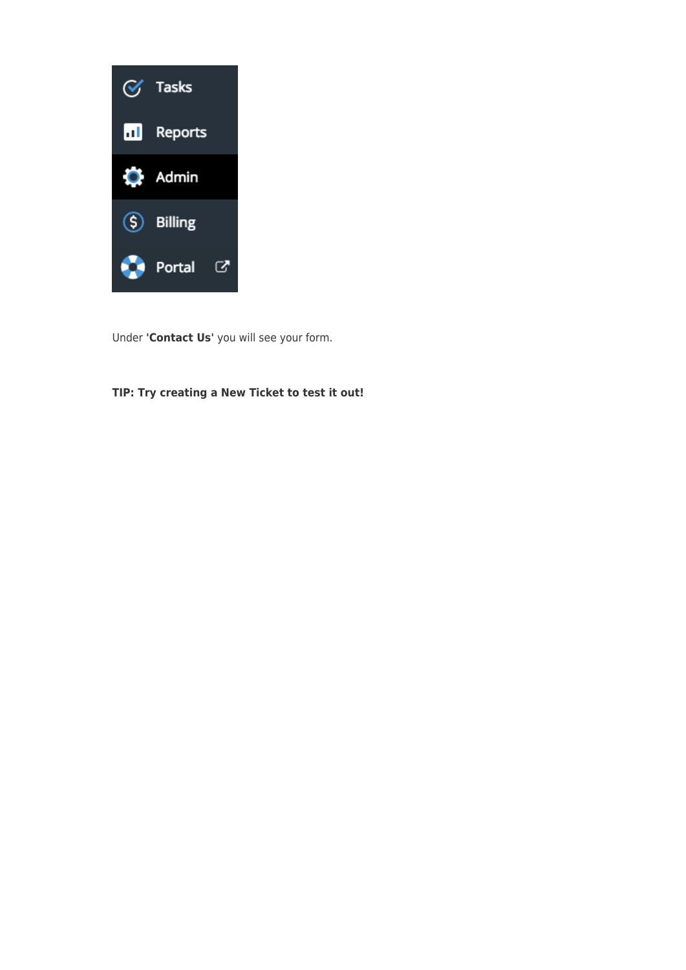

Under **'Contact Us'** you will see your form.

# **TIP: Try creating a New Ticket to test it out!**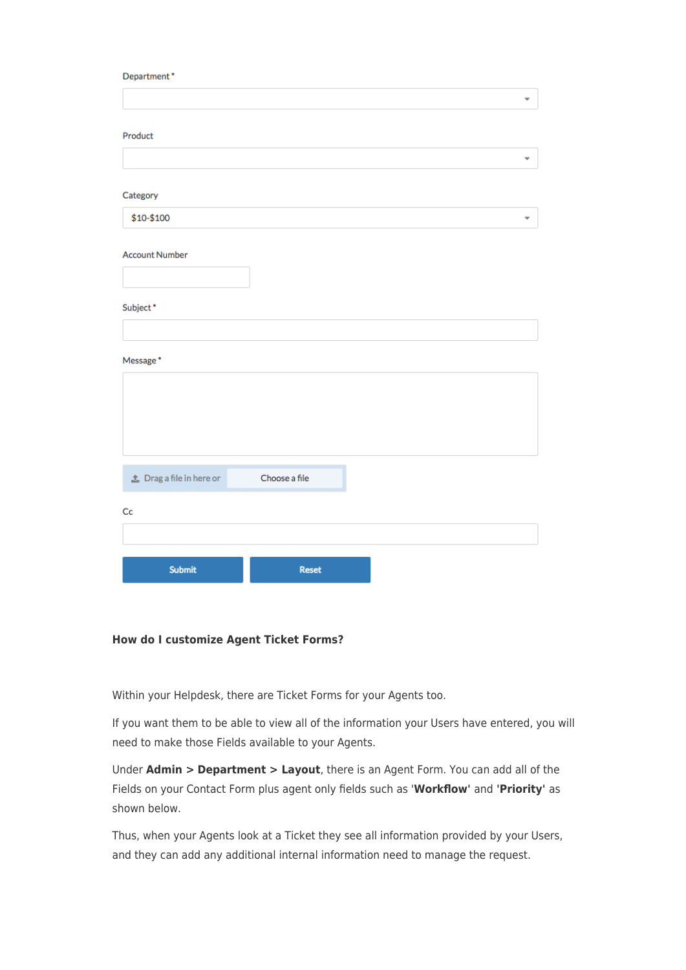#### Department\*

|                              |               | ٠ |
|------------------------------|---------------|---|
|                              |               |   |
|                              |               |   |
| Product                      |               |   |
|                              |               |   |
|                              |               |   |
|                              |               |   |
| Category                     |               |   |
|                              |               |   |
| \$10-\$100                   |               | ٠ |
|                              |               |   |
|                              |               |   |
| <b>Account Number</b>        |               |   |
|                              |               |   |
|                              |               |   |
|                              |               |   |
| Subject*                     |               |   |
|                              |               |   |
|                              |               |   |
|                              |               |   |
| Message*                     |               |   |
|                              |               |   |
|                              |               |   |
|                              |               |   |
|                              |               |   |
|                              |               |   |
|                              |               |   |
|                              |               |   |
| $\pm$ Drag a file in here or | Choose a file |   |
|                              |               |   |
|                              |               |   |
| Cc                           |               |   |
|                              |               |   |
|                              |               |   |
|                              |               |   |
| <b>Submit</b>                | Reset         |   |
|                              |               |   |

### **How do I customize Agent Ticket Forms?**

Within your Helpdesk, there are Ticket Forms for your Agents too.

If you want them to be able to view all of the information your Users have entered, you will need to make those Fields available to your Agents.

Under **Admin > Department > Layout**, there is an Agent Form. You can add all of the Fields on your Contact Form plus agent only fields such as '**Workflow'** and **'Priority'** as shown below.

Thus, when your Agents look at a Ticket they see all information provided by your Users, and they can add any additional internal information need to manage the request.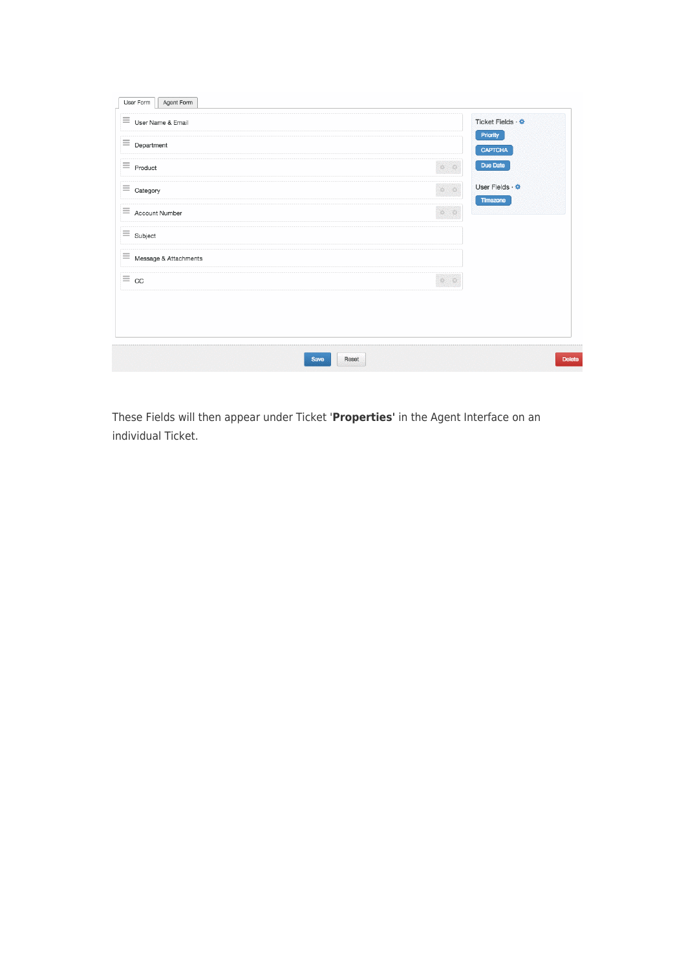| $\equiv$ User Name & Email     | Ticket Fields · *                         |
|--------------------------------|-------------------------------------------|
| $\equiv$ Department            | Priority<br><b>CAPTCHA</b>                |
| $\equiv$ Product               | $\bullet$ $\circ$<br>Due Date             |
| $\equiv$ Category              | User Fields · <del>©</del><br>$\bullet$ 0 |
| $\equiv$ Account Number        | Timezone<br>$\bullet$ 0                   |
| $\equiv$ Subject               |                                           |
| $\equiv$ Message & Attachments |                                           |
| $\equiv$ cc                    | $\bullet$ 0                               |
|                                |                                           |
|                                |                                           |
|                                |                                           |

These Fields will then appear under Ticket '**Properties'** in the Agent Interface on an individual Ticket.